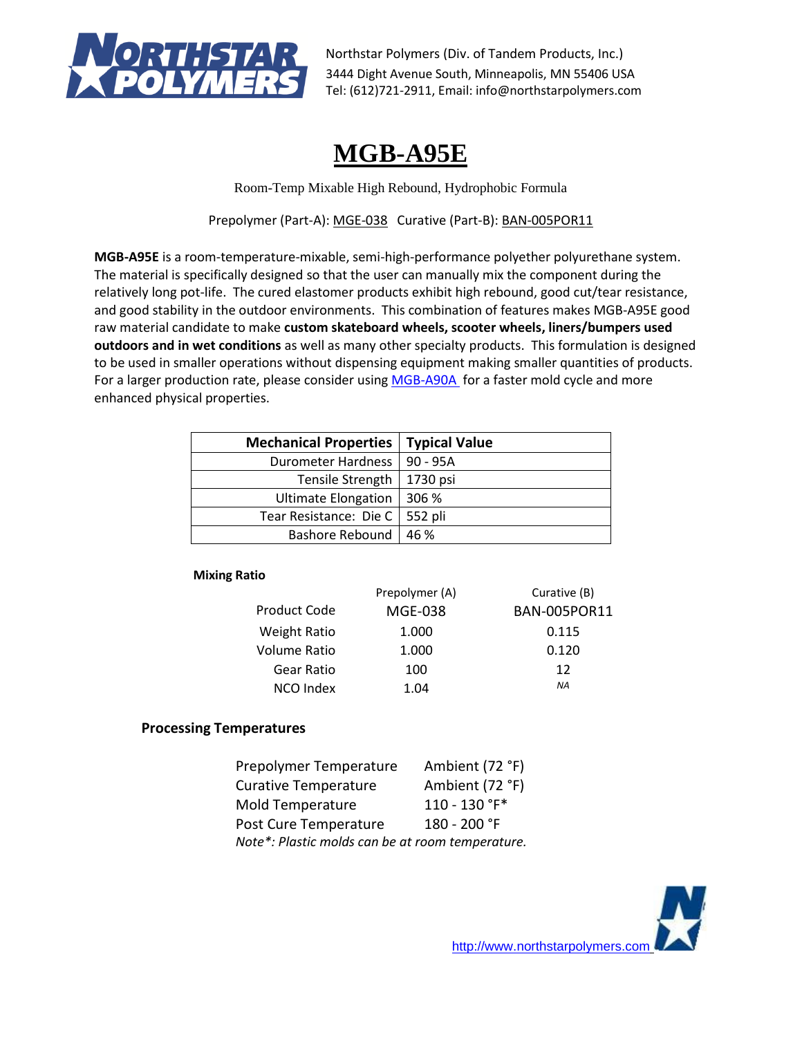

# **MGB-A95E**

Room-Temp Mixable High Rebound, Hydrophobic Formula

Prepolymer (Part-A): MGE-038 Curative (Part-B): BAN-005POR11

**MGB-A95E** is a room-temperature-mixable, semi-high-performance polyether polyurethane system. The material is specifically designed so that the user can manually mix the component during the relatively long pot-life. The cured elastomer products exhibit high rebound, good cut/tear resistance, and good stability in the outdoor environments. This combination of features makes MGB-A95E good raw material candidate to make **custom skateboard wheels, scooter wheels, liners/bumpers used outdoors and in wet conditions** as well as many other specialty products. This formulation is designed to be used in smaller operations without dispensing equipment making smaller quantities of products. For a larger production rate, please consider using [MGB-A90A](https://northstarpolymers.com/051719_PDF_Files/High_Performance/MGB-A90A_TDS_053019.pdf) for a faster mold cycle and more enhanced physical properties.

| <b>Mechanical Properties</b>     | <b>Typical Value</b> |
|----------------------------------|----------------------|
| Durometer Hardness               | l 90 - 95A           |
| Tensile Strength                 | 1730 psi             |
| Ultimate Elongation   306 %      |                      |
| Tear Resistance: Die C   552 pli |                      |
| Bashore Rebound                  | 46 %                 |

## **Mixing Ratio**

|                     | Prepolymer (A) | Curative (B)        |
|---------------------|----------------|---------------------|
| Product Code        | <b>MGE-038</b> | <b>BAN-005POR11</b> |
| <b>Weight Ratio</b> | 1.000          | 0.115               |
| Volume Ratio        | 1.000          | 0.120               |
| Gear Ratio          | 100            | 12                  |
| NCO Index           | 1.04           | <b>NA</b>           |

## **Processing Temperatures**

| Prepolymer Temperature                           | Ambient (72 °F) |  |
|--------------------------------------------------|-----------------|--|
| <b>Curative Temperature</b>                      | Ambient (72 °F) |  |
| Mold Temperature                                 | 110 - 130 °F*   |  |
| Post Cure Temperature                            | 180 - 200 °F    |  |
| Note*: Plastic molds can be at room temperature. |                 |  |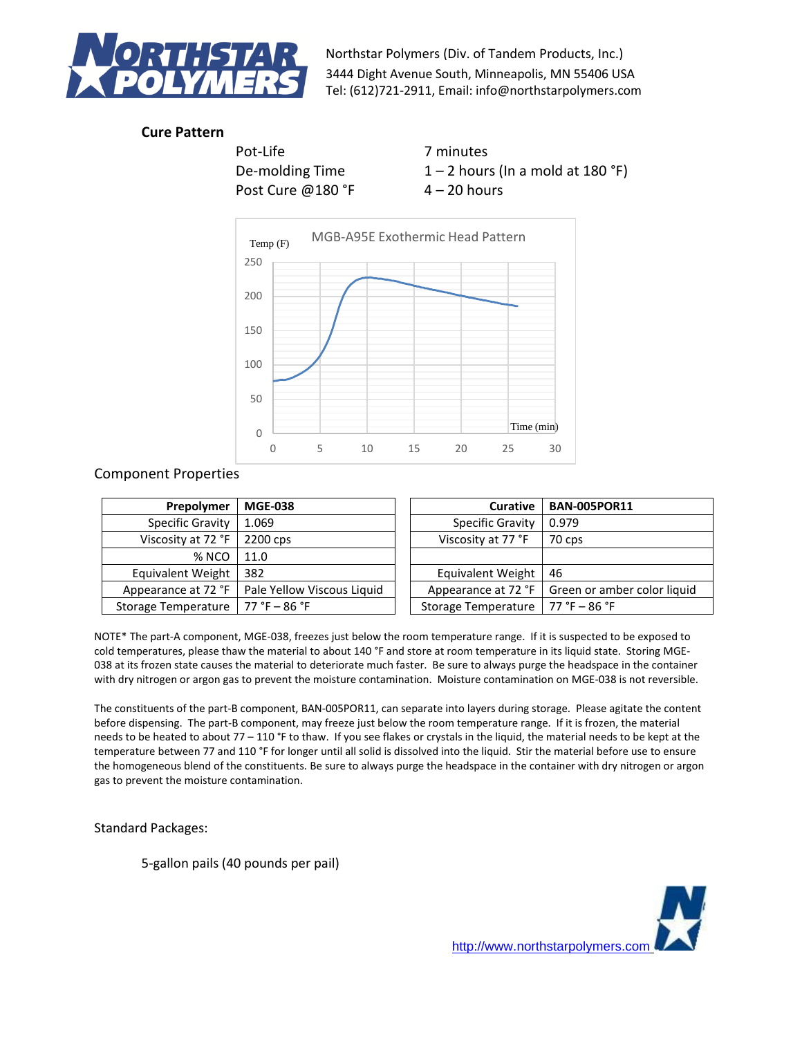

# **Cure Pattern**

Pot-Life 7 minutes Post Cure @180 °F  $4 - 20$  hours

De-molding Time  $1 - 2$  hours (In a mold at 180 °F)



Component Properties

| Prepolymer              | <b>MGE-038</b>             | Curative                | <b>BAN-005POR11</b>         |
|-------------------------|----------------------------|-------------------------|-----------------------------|
| <b>Specific Gravity</b> | 1.069                      | <b>Specific Gravity</b> | 0.979                       |
| Viscosity at 72 °F      | 2200 cps                   | Viscosity at 77 °F      | 70 cps                      |
| % NCO                   | 11.0                       |                         |                             |
| Equivalent Weight       | 382                        | Equivalent Weight       | 46                          |
| Appearance at 72 °F     | Pale Yellow Viscous Liquid | Appearance at 72 °F     | Green or amber color liquid |
| Storage Temperature     | $77 °F - 86 °F$            | Storage Temperature     | $77 °F - 86 °F$             |

NOTE\* The part-A component, MGE-038, freezes just below the room temperature range. If it is suspected to be exposed to cold temperatures, please thaw the material to about 140 °F and store at room temperature in its liquid state. Storing MGE-038 at its frozen state causes the material to deteriorate much faster. Be sure to always purge the headspace in the container with dry nitrogen or argon gas to prevent the moisture contamination. Moisture contamination on MGE-038 is not reversible.

The constituents of the part-B component, BAN-005POR11, can separate into layers during storage. Please agitate the content before dispensing. The part-B component, may freeze just below the room temperature range. If it is frozen, the material needs to be heated to about 77 – 110 °F to thaw. If you see flakes or crystals in the liquid, the material needs to be kept at the temperature between 77 and 110 °F for longer until all solid is dissolved into the liquid. Stir the material before use to ensure the homogeneous blend of the constituents. Be sure to always purge the headspace in the container with dry nitrogen or argon gas to prevent the moisture contamination.

Standard Packages:

5-gallon pails (40 pounds per pail)

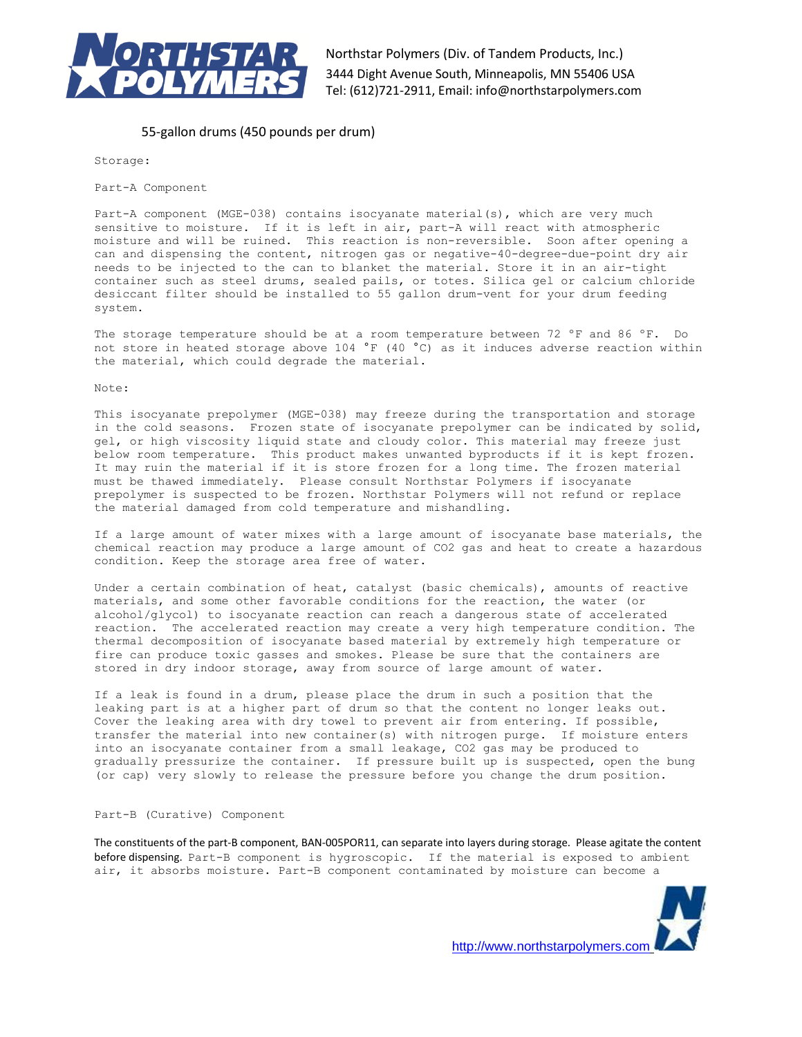

## 55-gallon drums (450 pounds per drum)

Storage:

Part-A Component

Part-A component (MGE-038) contains isocyanate material(s), which are very much sensitive to moisture. If it is left in air, part-A will react with atmospheric moisture and will be ruined. This reaction is non-reversible. Soon after opening a can and dispensing the content, nitrogen gas or negative-40-degree-due-point dry air needs to be injected to the can to blanket the material. Store it in an air-tight container such as steel drums, sealed pails, or totes. Silica gel or calcium chloride desiccant filter should be installed to 55 gallon drum-vent for your drum feeding system.

The storage temperature should be at a room temperature between 72 °F and 86 °F. Do not store in heated storage above 104 °F (40 °C) as it induces adverse reaction within the material, which could degrade the material.

Note:

This isocyanate prepolymer (MGE-038) may freeze during the transportation and storage in the cold seasons. Frozen state of isocyanate prepolymer can be indicated by solid, gel, or high viscosity liquid state and cloudy color. This material may freeze just below room temperature. This product makes unwanted byproducts if it is kept frozen. It may ruin the material if it is store frozen for a long time. The frozen material must be thawed immediately. Please consult Northstar Polymers if isocyanate prepolymer is suspected to be frozen. Northstar Polymers will not refund or replace the material damaged from cold temperature and mishandling.

If a large amount of water mixes with a large amount of isocyanate base materials, the chemical reaction may produce a large amount of CO2 gas and heat to create a hazardous condition. Keep the storage area free of water.

Under a certain combination of heat, catalyst (basic chemicals), amounts of reactive materials, and some other favorable conditions for the reaction, the water (or alcohol/glycol) to isocyanate reaction can reach a dangerous state of accelerated reaction. The accelerated reaction may create a very high temperature condition. The thermal decomposition of isocyanate based material by extremely high temperature or fire can produce toxic gasses and smokes. Please be sure that the containers are stored in dry indoor storage, away from source of large amount of water.

If a leak is found in a drum, please place the drum in such a position that the leaking part is at a higher part of drum so that the content no longer leaks out. Cover the leaking area with dry towel to prevent air from entering. If possible, transfer the material into new container(s) with nitrogen purge. If moisture enters into an isocyanate container from a small leakage, CO2 gas may be produced to gradually pressurize the container. If pressure built up is suspected, open the bung (or cap) very slowly to release the pressure before you change the drum position.

### Part-B (Curative) Component

The constituents of the part-B component, BAN-005POR11, can separate into layers during storage. Please agitate the content before dispensing. Part-B component is hygroscopic. If the material is exposed to ambient air, it absorbs moisture. Part-B component contaminated by moisture can become a